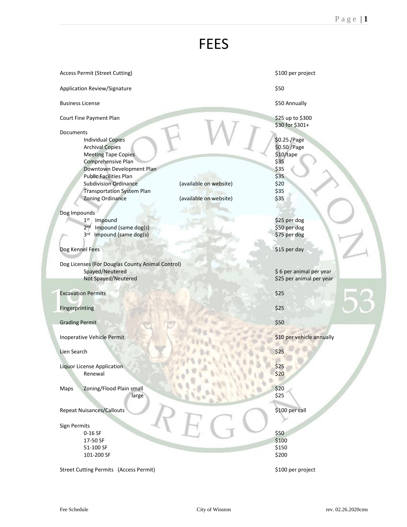## FEES

| <b>Access Permit (Street Cutting)</b>                                                                                                                                                                                                                                                                                          | \$100 per project                                                                           |
|--------------------------------------------------------------------------------------------------------------------------------------------------------------------------------------------------------------------------------------------------------------------------------------------------------------------------------|---------------------------------------------------------------------------------------------|
| Application Review/Signature                                                                                                                                                                                                                                                                                                   | \$50                                                                                        |
| <b>Business License</b>                                                                                                                                                                                                                                                                                                        | \$50 Annually                                                                               |
| Court Fine Payment Plan                                                                                                                                                                                                                                                                                                        | \$25 up to \$300<br>\$30 for \$301+                                                         |
| Documents<br><b>Individual Copies</b><br><b>Archival Copies</b><br><b>Meeting Tape Copies</b><br>Comprehensive Plan<br>Downtown Development Plan<br><b>Public Facilities Plan</b><br><b>Subdivision Ordinance</b><br>(available on website)<br><b>Transportation System Plan</b><br>(available on website)<br>Zoning Ordinance | \$0.25 / Page<br>\$0.50 / Page<br>\$10/tape<br>\$35<br>\$35<br>\$35<br>\$20<br>\$35<br>\$35 |
| Dog Impounds                                                                                                                                                                                                                                                                                                                   |                                                                                             |
| Impound<br>1 <sup>st</sup><br>2 <sub>nd</sub><br>Impound (same dog(s)<br>Impound (same dog(s)<br>3 <sup>rd</sup>                                                                                                                                                                                                               | \$25 per dog<br>\$50 per dog<br>\$75 per dog                                                |
| Dog Kennel Fees                                                                                                                                                                                                                                                                                                                | \$15 per day                                                                                |
| Dog Licenses (For Douglas County Animal Control)<br>Spayed/Neutered                                                                                                                                                                                                                                                            | \$6 per animal per year                                                                     |
| Not Spayed/Neutered                                                                                                                                                                                                                                                                                                            | \$25 per animal per year                                                                    |
| <b>Excavation Permits</b>                                                                                                                                                                                                                                                                                                      | \$25                                                                                        |
| Fingerprinting                                                                                                                                                                                                                                                                                                                 | \$25                                                                                        |
| <b>Grading Permit</b>                                                                                                                                                                                                                                                                                                          | \$50                                                                                        |
| <b>Inoperative Vehicle Permit</b>                                                                                                                                                                                                                                                                                              | \$10 per vehicle annually                                                                   |
| Lien Search                                                                                                                                                                                                                                                                                                                    | \$25                                                                                        |
| <b>Liquor License Application</b><br>Renewal                                                                                                                                                                                                                                                                                   | \$25<br>\$20                                                                                |
| Zoning/Flood Plain small<br>Maps<br>large                                                                                                                                                                                                                                                                                      | \$20<br>\$25                                                                                |
| <b>Repeat Nuisances/Callouts</b>                                                                                                                                                                                                                                                                                               | \$100 per call                                                                              |
| Sign Permits<br>$0-16$ SF<br>17-50 SF<br>51-100 SF                                                                                                                                                                                                                                                                             | \$50<br>\$100<br>\$150                                                                      |
| 101-200 SF                                                                                                                                                                                                                                                                                                                     | \$200                                                                                       |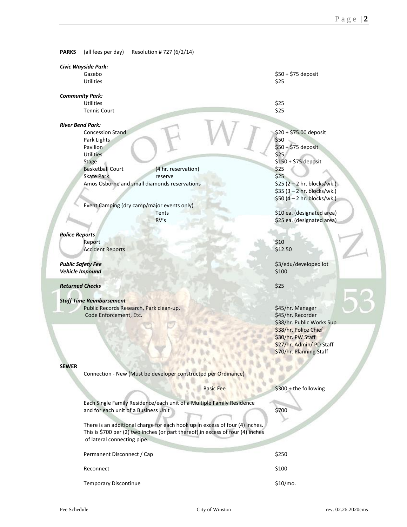**PARKS** (all fees per day) Resolution # 727 (6/2/14)

| Civic Wayside Park:                                            |                                                                                 |                                |  |
|----------------------------------------------------------------|---------------------------------------------------------------------------------|--------------------------------|--|
| Gazebo                                                         |                                                                                 | \$50 + \$75 deposit            |  |
| <b>Utilities</b>                                               |                                                                                 | \$25                           |  |
|                                                                |                                                                                 |                                |  |
| <b>Community Park:</b>                                         |                                                                                 |                                |  |
| <b>Utilities</b>                                               |                                                                                 | \$25                           |  |
|                                                                | <b>Tennis Court</b>                                                             | \$25                           |  |
|                                                                |                                                                                 |                                |  |
| <b>River Bend Park:</b>                                        | <b>Concession Stand</b>                                                         |                                |  |
|                                                                |                                                                                 | \$20 + \$75.00 deposit<br>\$50 |  |
| Pavilion                                                       | Park Lights                                                                     | \$50 + \$75 deposit            |  |
| <b>Utilities</b>                                               |                                                                                 | \$25                           |  |
| <b>Stage</b>                                                   |                                                                                 | \$150 + \$75 deposit           |  |
|                                                                | <b>Basketball Court</b><br>(4 hr. reservation)                                  | \$25                           |  |
|                                                                | <b>Skate Park</b><br>reserve                                                    | \$25                           |  |
|                                                                | Amos Osborne and small diamonds reservations                                    | $$25 (2 - 2)$ hr. blocks/wk.)  |  |
|                                                                |                                                                                 | $$35 (3 - 2)$ hr. blocks/wk.)  |  |
|                                                                |                                                                                 | $$50 (4 - 2 hr. blocks/wk.)$   |  |
|                                                                | Event Camping (dry camp/major events only)                                      |                                |  |
|                                                                | Tents                                                                           | \$10 ea. (designated area)     |  |
|                                                                | RV's                                                                            | \$25 ea. (designated area)     |  |
|                                                                |                                                                                 |                                |  |
| <b>Police Reports</b>                                          |                                                                                 |                                |  |
| Report                                                         |                                                                                 | \$10                           |  |
|                                                                | <b>Accident Reports</b>                                                         | \$12.50                        |  |
|                                                                |                                                                                 |                                |  |
| <b>Public Safety Fee</b>                                       |                                                                                 | \$3/edu/developed lot          |  |
| <b>Vehicle Impound</b>                                         |                                                                                 | \$100                          |  |
| <b>Returned Checks</b>                                         |                                                                                 | \$25                           |  |
|                                                                |                                                                                 |                                |  |
| <b>Staff Time Reimbursement</b>                                |                                                                                 |                                |  |
|                                                                | Public Records Research, Park clean-up,                                         | \$45/hr. Manager               |  |
|                                                                | Code Enforcement, Etc.                                                          | \$45/hr. Recorder              |  |
|                                                                |                                                                                 | \$38/hr. Public Works Sup      |  |
|                                                                |                                                                                 | \$38/hr. Police Chief          |  |
|                                                                |                                                                                 | \$30/hr. PW Staff              |  |
|                                                                |                                                                                 | \$27/hr. Admin/ PD Staff       |  |
|                                                                |                                                                                 | \$70/hr. Planning Staff        |  |
|                                                                |                                                                                 |                                |  |
| <b>SEWER</b>                                                   |                                                                                 |                                |  |
| Connection - New (Must be developer constructed per Ordinance) |                                                                                 |                                |  |
|                                                                |                                                                                 |                                |  |
|                                                                | <b>Basic Fee</b>                                                                | \$300 + the following          |  |
|                                                                |                                                                                 |                                |  |
|                                                                | Each Single Family Residence/each unit of a Multiple Family Residence           |                                |  |
|                                                                | and for each unit of a Business Unit                                            | \$700                          |  |
|                                                                | There is an additional charge for each hook up in excess of four (4) inches.    |                                |  |
|                                                                | This is \$700 per (2) two inches (or part thereof) in excess of four (4) inches |                                |  |
|                                                                | of lateral connecting pipe.                                                     |                                |  |
|                                                                |                                                                                 |                                |  |
|                                                                | Permanent Disconnect / Cap                                                      | \$250                          |  |
|                                                                |                                                                                 |                                |  |
|                                                                | Reconnect                                                                       | \$100                          |  |
|                                                                |                                                                                 |                                |  |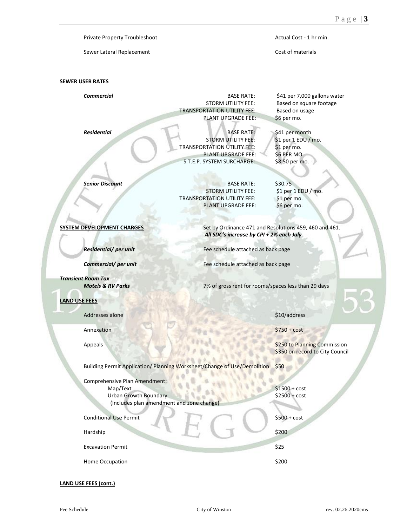Private Property Troubleshoot **Actual Cost - 1 hr min.** Actual Cost - 1 hr min.

Sewer Lateral Replacement Cost of materials

## **SEWER USER RATES**

**Commercial Commercial BASE RATE:** \$41 per 7,000 gallons water STORM UTILITY FEE: Based on square footage TRANSPORTATION UTILITY FEE: Based on usage PLANT UPGRADE FEE: \$6 per mo.

**Residential** BASE RATE: \$41 per month<br>STORM UTILITY FEE: \$1 per 1 EDU / TRANSPORTATION UTILITY FEE: PLANT UPGRADE FEE: \$6 PER MO. S.T.E.P. SYSTEM SURCHARGE: \$8.50 per mo.

**Senior Discount** BASE RATE: \$30.75<br>STORM UTILITY FEE: \$1 per 1 EDU / mo. **STORM UTILITY FEE:** TRANSPORTATION UTILITY FEE: \$1 per mo. PLANT UPGRADE FEE: \$6 per mo.

\$1 per 1 EDU / mo.<br>\$1 per mo.

**SYSTEM DEVELOPMENT CHARGES** Set by Ordinance 471 and Resolutions 459, 460 and 461. *All SDC's increase by CPI + 2% each July*

**Residential/ per unit** Fee schedule attached as back page

**Commercial/ per unit** Fee schedule attached as back page

*Motels & RV Parks* 7% of gross rent for rooms/spaces less than 29 days

## **LAND USE FEES**

*Transient Room Tax*

Addresses alone \$10/address and \$10/address

Annexation \$750 + cost

Appeals **\$250 to Planning Commission** \$350 on record to City Council

Building Permit Application/ Planning Worksheet/Change of Use/Demolition \$50

Comprehensive Plan Amendment: Map/Text \$1500 + cost<br>Urban Growth Boundary \$2500 + cost Urban Growth Boundary (Includes plan amendment and zone change)

| <b>Conditional Use Permit</b> | $$500 + cost$ |
|-------------------------------|---------------|
| Hardship                      | \$200         |
| <b>Excavation Permit</b>      | \$25          |
| Home Occupation               | \$200         |

**LAND USE FEES (cont.)**